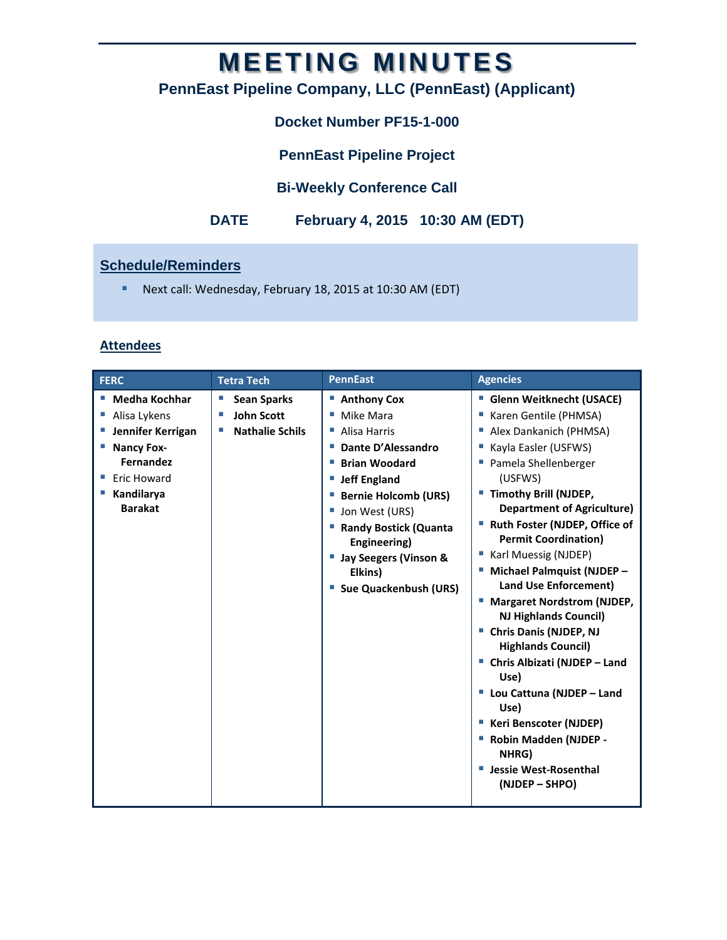# **MEETING MINUTES**

# **PennEast Pipeline Company, LLC (PennEast) (Applicant)**

## **Docket Number PF15-1-000**

**PennEast Pipeline Project**

# **Bi-Weekly Conference Call**

**DATE February 4, 2015 10:30 AM (EDT)**

# **Schedule/Reminders**

Next call: Wednesday, February 18, 2015 at 10:30 AM (EDT)

## **Attendees**

| <b>FERC</b>                                                                                                                                              | <b>Tetra Tech</b>                                                 | <b>PennEast</b>                                                                                                                                                                                                                                                                                                           | <b>Agencies</b>                                                                                                                                                                                                                                                                                                                                                                                                                                                                                                                                                                                                                                                                                   |
|----------------------------------------------------------------------------------------------------------------------------------------------------------|-------------------------------------------------------------------|---------------------------------------------------------------------------------------------------------------------------------------------------------------------------------------------------------------------------------------------------------------------------------------------------------------------------|---------------------------------------------------------------------------------------------------------------------------------------------------------------------------------------------------------------------------------------------------------------------------------------------------------------------------------------------------------------------------------------------------------------------------------------------------------------------------------------------------------------------------------------------------------------------------------------------------------------------------------------------------------------------------------------------------|
| <b>Medha Kochhar</b><br>Alisa Lykens<br>Jennifer Kerrigan<br><b>Nancy Fox-</b><br><b>Fernandez</b><br><b>Eric Howard</b><br>Kandilarya<br><b>Barakat</b> | <b>Sean Sparks</b><br><b>John Scott</b><br><b>Nathalie Schils</b> | ■ Anthony Cox<br>Mike Mara<br>Alisa Harris<br>ш<br>Dante D'Alessandro<br>m.<br><b>Brian Woodard</b><br>ш<br><b>Jeff England</b><br><b>Bernie Holcomb (URS)</b><br>ш<br>Jon West (URS)<br>ш<br><b>Randy Bostick (Quanta</b><br>Engineering)<br><b>Jay Seegers (Vinson &amp;</b><br>Elkins)<br><b>Sue Quackenbush (URS)</b> | ■ Glenn Weitknecht (USACE)<br>Karen Gentile (PHMSA)<br>Alex Dankanich (PHMSA)<br>Kayla Easler (USFWS)<br>Pamela Shellenberger<br>(USFWS)<br>" Timothy Brill (NJDEP,<br><b>Department of Agriculture)</b><br>Ruth Foster (NJDEP, Office of<br><b>Permit Coordination)</b><br>Karl Muessig (NJDEP)<br>Michael Palmquist (NJDEP -<br>Land Use Enforcement)<br><b>Margaret Nordstrom (NJDEP,</b><br><b>NJ Highlands Council)</b><br><b>Chris Danis (NJDEP, NJ</b><br><b>Highlands Council)</b><br>Chris Albizati (NJDEP - Land<br>Use)<br>Lou Cattuna (NJDEP - Land<br>ш<br>Use)<br><b>Keri Benscoter (NJDEP)</b><br>Robin Madden (NJDEP -<br>NHRG)<br><b>Jessie West-Rosenthal</b><br>(NJDEP - SHPO) |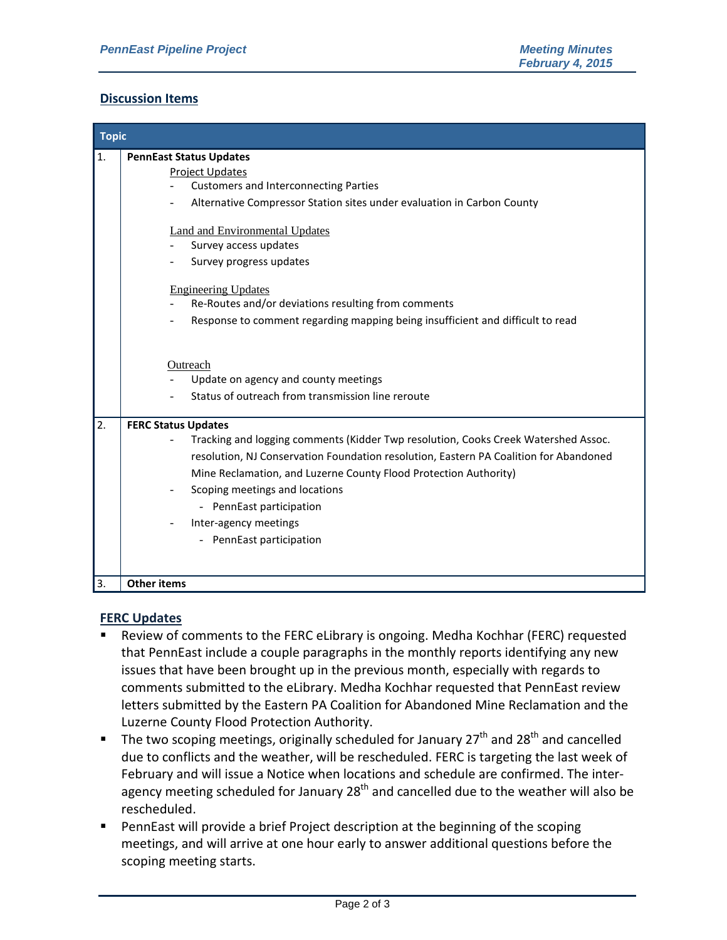#### **Discussion Items**

| <b>Topic</b>     |                                                                                                                                                                                                                                                                                                                                                                                                                                                        |  |  |
|------------------|--------------------------------------------------------------------------------------------------------------------------------------------------------------------------------------------------------------------------------------------------------------------------------------------------------------------------------------------------------------------------------------------------------------------------------------------------------|--|--|
| 1.               | <b>PennEast Status Updates</b><br><b>Project Updates</b><br><b>Customers and Interconnecting Parties</b><br>Alternative Compressor Station sites under evaluation in Carbon County<br><b>Land and Environmental Updates</b><br>Survey access updates<br>Survey progress updates<br><b>Engineering Updates</b><br>Re-Routes and/or deviations resulting from comments<br>Response to comment regarding mapping being insufficient and difficult to read |  |  |
|                  | Outreach<br>Update on agency and county meetings<br>Status of outreach from transmission line reroute                                                                                                                                                                                                                                                                                                                                                  |  |  |
| 2.               | <b>FERC Status Updates</b><br>Tracking and logging comments (Kidder Twp resolution, Cooks Creek Watershed Assoc.<br>resolution, NJ Conservation Foundation resolution, Eastern PA Coalition for Abandoned<br>Mine Reclamation, and Luzerne County Flood Protection Authority)<br>Scoping meetings and locations<br>- PennEast participation<br>Inter-agency meetings<br>PennEast participation                                                         |  |  |
| $\overline{3}$ . | <b>Other items</b>                                                                                                                                                                                                                                                                                                                                                                                                                                     |  |  |

#### **FERC Updates**

- Review of comments to the FERC eLibrary is ongoing. Medha Kochhar (FERC) requested that PennEast include a couple paragraphs in the monthly reports identifying any new issues that have been brought up in the previous month, especially with regards to comments submitted to the eLibrary. Medha Kochhar requested that PennEast review letters submitted by the Eastern PA Coalition for Abandoned Mine Reclamation and the Luzerne County Flood Protection Authority.
- The two scoping meetings, originally scheduled for January 27<sup>th</sup> and 28<sup>th</sup> and cancelled due to conflicts and the weather, will be rescheduled. FERC is targeting the last week of February and will issue a Notice when locations and schedule are confirmed. The interagency meeting scheduled for January  $28<sup>th</sup>$  and cancelled due to the weather will also be rescheduled.
- PennEast will provide a brief Project description at the beginning of the scoping meetings, and will arrive at one hour early to answer additional questions before the scoping meeting starts.